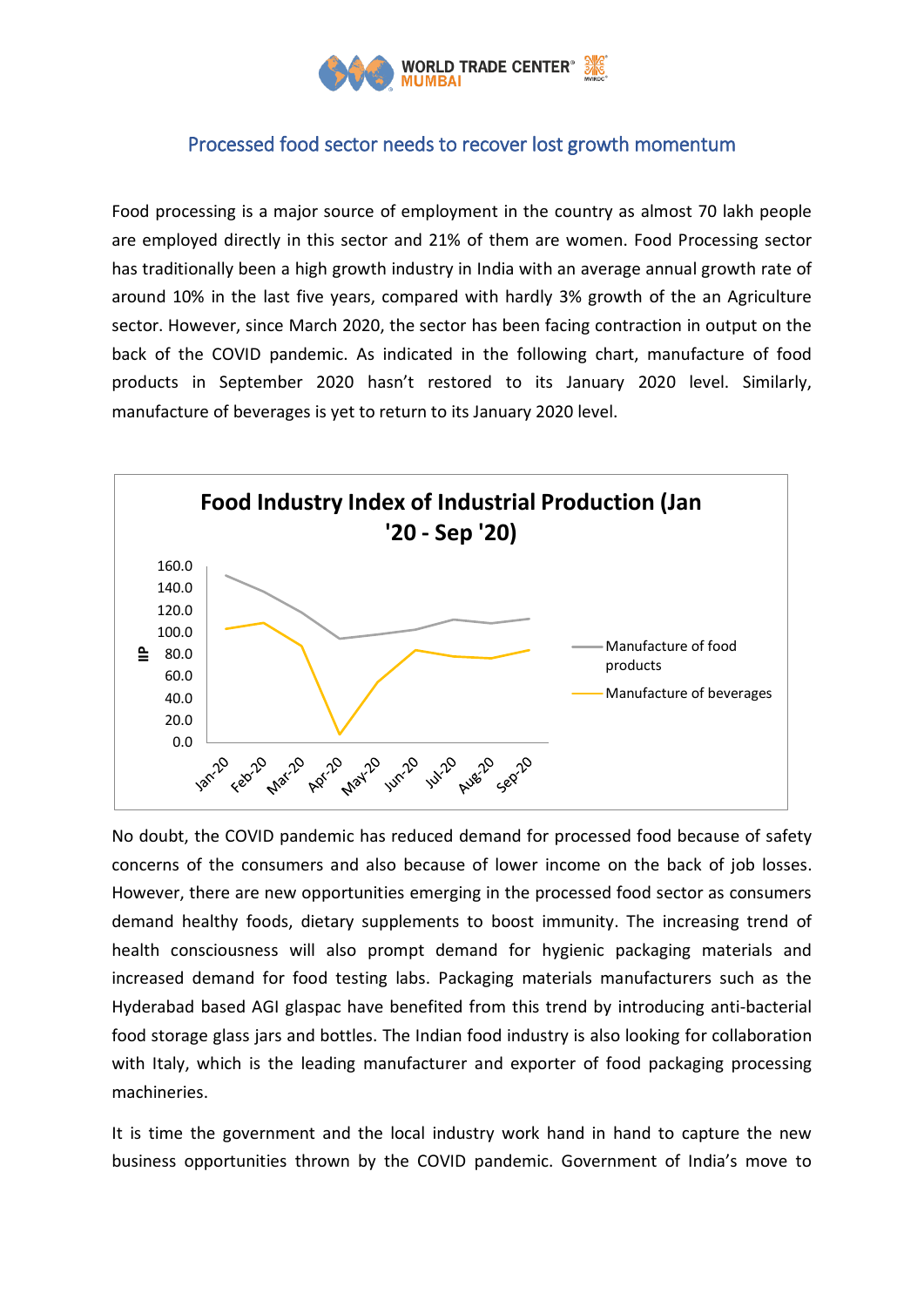

## Processed food sector needs to recover lost growth momentum

Food processing is a major source of employment in the country as almost 70 lakh people are employed directly in this sector and 21% of them are women. Food Processing sector has traditionally been a high growth industry in India with an average annual growth rate of around 10% in the last five years, compared with hardly 3% growth of the an Agriculture sector. However, since March 2020, the sector has been facing contraction in output on the back of the COVID pandemic. As indicated in the following chart, manufacture of food products in September 2020 hasn't restored to its January 2020 level. Similarly, manufacture of beverages is yet to return to its January 2020 level.



No doubt, the COVID pandemic has reduced demand for processed food because of safety concerns of the consumers and also because of lower income on the back of job losses. However, there are new opportunities emerging in the processed food sector as consumers demand healthy foods, dietary supplements to boost immunity. The increasing trend of health consciousness will also prompt demand for hygienic packaging materials and increased demand for food testing labs. Packaging materials manufacturers such as the Hyderabad based AGI glaspac have benefited from this trend by introducing anti-bacterial food storage glass jars and bottles. The Indian food industry is also looking for collaboration with Italy, which is the leading manufacturer and exporter of food packaging processing machineries.

It is time the government and the local industry work hand in hand to capture the new business opportunities thrown by the COVID pandemic. Government of India's move to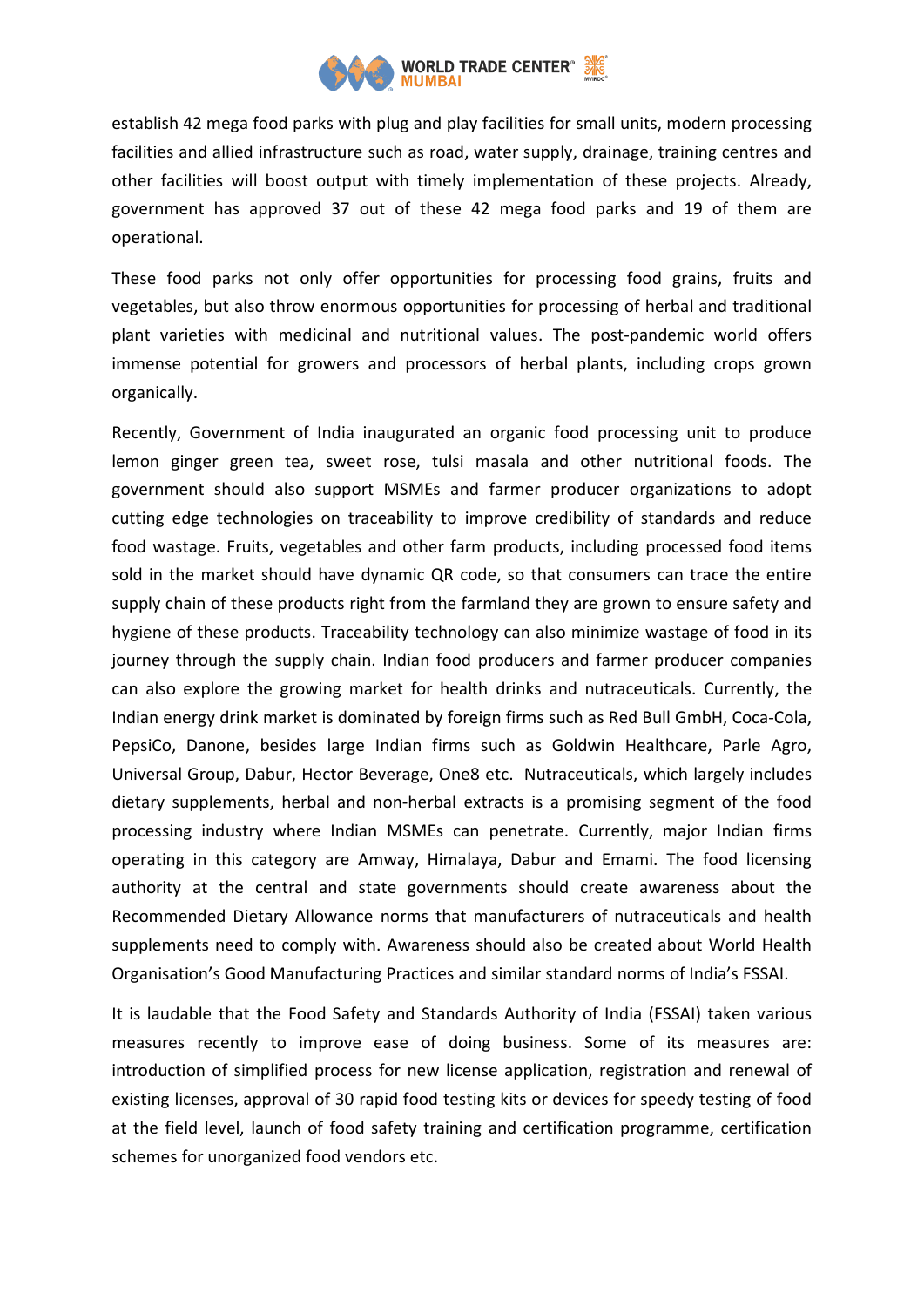

establish 42 mega food parks with plug and play facilities for small units, modern processing facilities and allied infrastructure such as road, water supply, drainage, training centres and other facilities will boost output with timely implementation of these projects. Already, government has approved 37 out of these 42 mega food parks and 19 of them are operational.

These food parks not only offer opportunities for processing food grains, fruits and vegetables, but also throw enormous opportunities for processing of herbal and traditional plant varieties with medicinal and nutritional values. The post-pandemic world offers immense potential for growers and processors of herbal plants, including crops grown organically.

Recently, Government of India inaugurated an organic food processing unit to produce lemon ginger green tea, sweet rose, tulsi masala and other nutritional foods. The government should also support MSMEs and farmer producer organizations to adopt cutting edge technologies on traceability to improve credibility of standards and reduce food wastage. Fruits, vegetables and other farm products, including processed food items sold in the market should have dynamic QR code, so that consumers can trace the entire supply chain of these products right from the farmland they are grown to ensure safety and hygiene of these products. Traceability technology can also minimize wastage of food in its journey through the supply chain. Indian food producers and farmer producer companies can also explore the growing market for health drinks and nutraceuticals. Currently, the Indian energy drink market is dominated by foreign firms such as Red Bull GmbH, Coca-Cola, PepsiCo, Danone, besides large Indian firms such as Goldwin Healthcare, Parle Agro, Universal Group, Dabur, Hector Beverage, One8 etc. Nutraceuticals, which largely includes dietary supplements, herbal and non-herbal extracts is a promising segment of the food processing industry where Indian MSMEs can penetrate. Currently, major Indian firms operating in this category are Amway, Himalaya, Dabur and Emami. The food licensing authority at the central and state governments should create awareness about the Recommended Dietary Allowance norms that manufacturers of nutraceuticals and health supplements need to comply with. Awareness should also be created about World Health Organisation's Good Manufacturing Practices and similar standard norms of India's FSSAI.

It is laudable that the Food Safety and Standards Authority of India (FSSAI) taken various measures recently to improve ease of doing business. Some of its measures are: introduction of simplified process for new license application, registration and renewal of existing licenses, approval of 30 rapid food testing kits or devices for speedy testing of food at the field level, launch of food safety training and certification programme, certification schemes for unorganized food vendors etc.